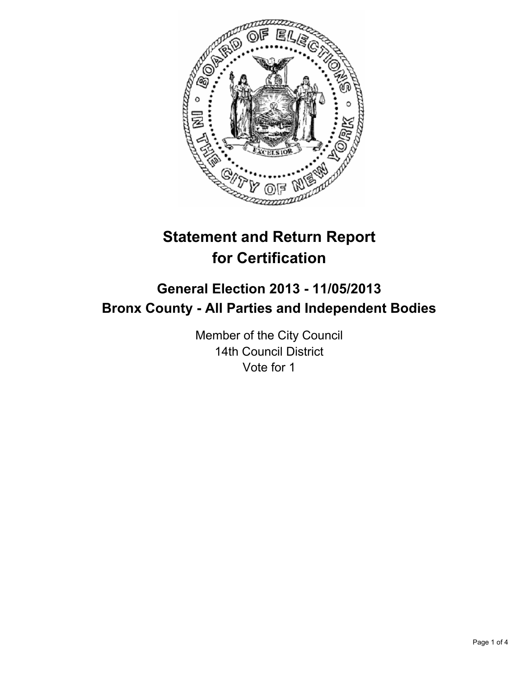

# **Statement and Return Report for Certification**

## **General Election 2013 - 11/05/2013 Bronx County - All Parties and Independent Bodies**

Member of the City Council 14th Council District Vote for 1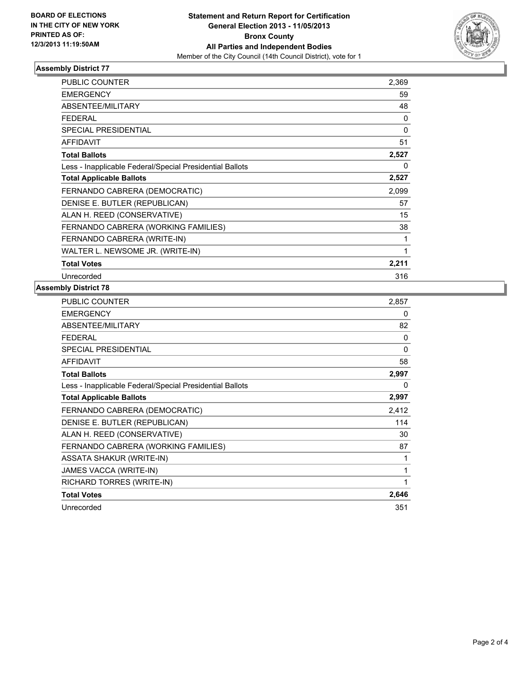

#### **Assembly District 77**

| <b>PUBLIC COUNTER</b>                                    | 2,369 |
|----------------------------------------------------------|-------|
| <b>EMERGENCY</b>                                         | 59    |
| ABSENTEE/MILITARY                                        | 48    |
| FEDERAL                                                  | 0     |
| <b>SPECIAL PRESIDENTIAL</b>                              | 0     |
| <b>AFFIDAVIT</b>                                         | 51    |
| <b>Total Ballots</b>                                     | 2,527 |
| Less - Inapplicable Federal/Special Presidential Ballots | 0     |
| <b>Total Applicable Ballots</b>                          | 2,527 |
| FERNANDO CABRERA (DEMOCRATIC)                            | 2,099 |
| DENISE E. BUTLER (REPUBLICAN)                            | 57    |
| ALAN H. REED (CONSERVATIVE)                              | 15    |
| FERNANDO CABRERA (WORKING FAMILIES)                      | 38    |
| FERNANDO CABRERA (WRITE-IN)                              | 1     |
| WALTER L. NEWSOME JR. (WRITE-IN)                         | 1     |
| <b>Total Votes</b>                                       | 2,211 |
| Unrecorded                                               | 316   |

### **Assembly District 78**

| PUBLIC COUNTER                                           | 2,857 |
|----------------------------------------------------------|-------|
| <b>EMERGENCY</b>                                         | 0     |
| ABSENTEE/MILITARY                                        | 82    |
| <b>FEDERAL</b>                                           | 0     |
| <b>SPECIAL PRESIDENTIAL</b>                              | 0     |
| <b>AFFIDAVIT</b>                                         | 58    |
| <b>Total Ballots</b>                                     | 2,997 |
| Less - Inapplicable Federal/Special Presidential Ballots | 0     |
| <b>Total Applicable Ballots</b>                          | 2,997 |
| FERNANDO CABRERA (DEMOCRATIC)                            | 2,412 |
| DENISE E. BUTLER (REPUBLICAN)                            | 114   |
| ALAN H. REED (CONSERVATIVE)                              | 30    |
| FERNANDO CABRERA (WORKING FAMILIES)                      | 87    |
| <b>ASSATA SHAKUR (WRITE-IN)</b>                          | 1     |
| JAMES VACCA (WRITE-IN)                                   | 1     |
| RICHARD TORRES (WRITE-IN)                                | 1     |
| <b>Total Votes</b>                                       | 2,646 |
| Unrecorded                                               | 351   |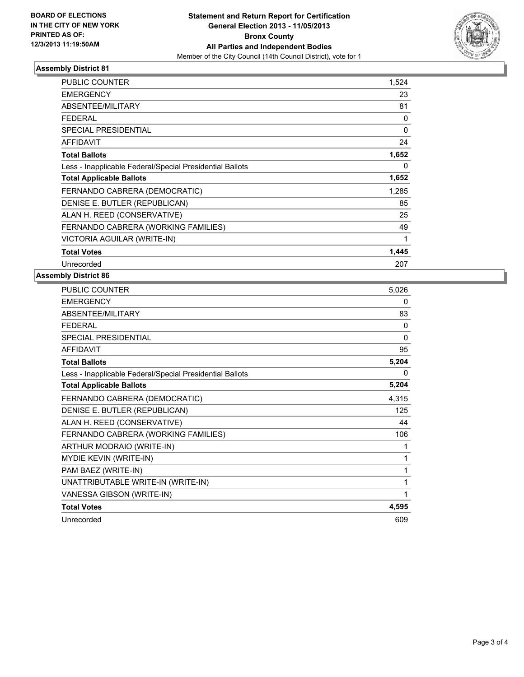

## **Assembly District 81**

| <b>PUBLIC COUNTER</b>                                    | 1,524 |
|----------------------------------------------------------|-------|
| <b>EMERGENCY</b>                                         | 23    |
| <b>ABSENTEE/MILITARY</b>                                 | 81    |
| <b>FEDERAL</b>                                           | 0     |
| <b>SPECIAL PRESIDENTIAL</b>                              | 0     |
| <b>AFFIDAVIT</b>                                         | 24    |
| <b>Total Ballots</b>                                     | 1,652 |
| Less - Inapplicable Federal/Special Presidential Ballots | 0     |
| <b>Total Applicable Ballots</b>                          | 1,652 |
| FERNANDO CABRERA (DEMOCRATIC)                            | 1,285 |
| DENISE E. BUTLER (REPUBLICAN)                            | 85    |
| ALAN H. REED (CONSERVATIVE)                              | 25    |
| FERNANDO CABRERA (WORKING FAMILIES)                      | 49    |
| VICTORIA AGUILAR (WRITE-IN)                              | 1     |
| <b>Total Votes</b>                                       | 1,445 |
| Unrecorded                                               | 207   |

#### **Assembly District 86**

| <b>PUBLIC COUNTER</b>                                    | 5,026        |
|----------------------------------------------------------|--------------|
| <b>EMERGENCY</b>                                         | 0            |
| ABSENTEE/MILITARY                                        | 83           |
| <b>FEDERAL</b>                                           | 0            |
| <b>SPECIAL PRESIDENTIAL</b>                              | $\mathbf{0}$ |
| <b>AFFIDAVIT</b>                                         | 95           |
| <b>Total Ballots</b>                                     | 5,204        |
| Less - Inapplicable Federal/Special Presidential Ballots | 0            |
| <b>Total Applicable Ballots</b>                          | 5,204        |
| FERNANDO CABRERA (DEMOCRATIC)                            | 4,315        |
| DENISE E. BUTLER (REPUBLICAN)                            | 125          |
| ALAN H. REED (CONSERVATIVE)                              | 44           |
| FERNANDO CABRERA (WORKING FAMILIES)                      | 106          |
| ARTHUR MODRAIO (WRITE-IN)                                | 1            |
| <b>MYDIE KEVIN (WRITE-IN)</b>                            | 1            |
| PAM BAEZ (WRITE-IN)                                      | 1            |
| UNATTRIBUTABLE WRITE-IN (WRITE-IN)                       | 1            |
| VANESSA GIBSON (WRITE-IN)                                | 1            |
| <b>Total Votes</b>                                       | 4,595        |
| Unrecorded                                               | 609          |
|                                                          |              |